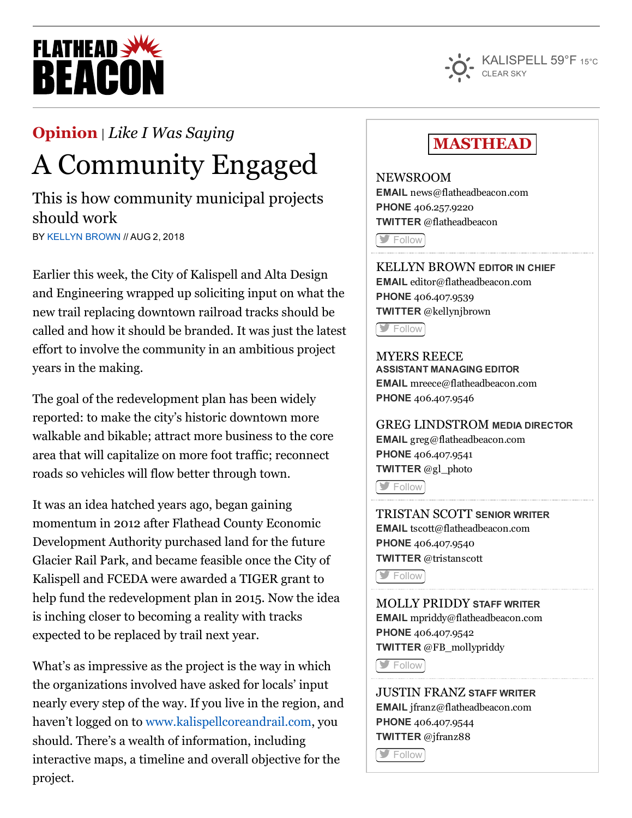# **FLATHEAD REACO**



#### [Opinion](https://flatheadbeacon.com/section/opinion/) | *Like I Was [Saying](https://flatheadbeacon.com/section/opinion/like-i-was-saying/)*

## A Community Engaged

This is how community municipal projects should work

BY KELLYN [BROWN](https://flatheadbeacon.com/author/kellynbrown/) // AUG 2, 2018

Earlier this week, the City of Kalispell and Alta Design and Engineering wrapped up soliciting input on what the new trail replacing downtown railroad tracks should be called and how it should be branded. It was just the latest effort to involve the community in an ambitious project years in the making.

The goal of the redevelopment plan has been widely reported: to make the city's historic downtown more walkable and bikable; attract more business to the core area that will capitalize on more foot traffic; reconnect roads so vehicles will flow better through town.

It was an idea hatched years ago, began gaining momentum in 2012 after Flathead County Economic Development Authority purchased land for the future Glacier Rail Park, and became feasible once the City of Kalispell and FCEDA were awarded a TIGER grant to help fund the redevelopment plan in 2015. Now the idea is inching closer to becoming a reality with tracks expected to be replaced by trail next year.

What's as impressive as the project is the way in which the organizations involved have asked for locals' input nearly every step of the way. If you live in the region, and haven't logged on to [www.kalispellcoreandrail.com](http://www.kalispellcoreandrail.com/), you should. There's a wealth of information, including interactive maps, a timeline and overall objective for the project.

### **MASTHEAD**

NEWSROOM EMAIL [news@flatheadbeacon.com](mailto:news@flatheadbeacon.com) PHONE [406.257.9220](tel:406.257.9220) TWITTER @flatheadbeacon **[Follow](http://twitter.com/flatheadbeacon)** 

KELLYN BROWN EDITOR IN CHIEF EMAIL [editor@flatheadbeacon.com](mailto:editor@flatheadbeacon.com) PHONE [406.407.9539](tel:406.407.9539) TWITTER @kellynjbrown

**S** [Follow](http://twitter.com/kellynjbrown)

MYERS REECE ASSISTANT MANAGING EDITOR EMAIL [mreece@flatheadbeacon.com](mailto:mreece@flatheadbeacon.com) PHONE [406.407.9546](tel:406.407.9546)

GREG LINDSTROM MEDIA DIRECTOR EMAIL [greg@flatheadbeacon.com](mailto:greg@flatheadbeacon.com) PHONE [406.407.9541](tel:406.407.9541) TWITTER @gl\_photo

[Follow](http://twitter.com/gl_photo)

TRISTAN SCOTT SENIOR WRITER EMAIL [tscott@flatheadbeacon.com](mailto:tscott@flatheadbeacon.com) PHONE [406.407.9540](tel:406.407.9540) TWITTER @tristanscott

**[Follow](http://twitter.com/tristanscott)** 

MOLLY PRIDDY STAFF WRITER EMAIL [mpriddy@flatheadbeacon.com](mailto:mpriddy@flatheadbeacon.com) PHONE [406.407.9542](tel:406.407.9542) TWITTER @FB\_mollypriddy

**[Follow](http://twitter.com/FB_mollypriddy)** 

JUSTIN FRANZ STAFF WRITER EMAIL [jfranz@flatheadbeacon.com](mailto:jfranz@flatheadbeacon.com) PHONE [406.407.9544](tel:406.407.9544) TWITTER @jfranz88

[Follow](http://twitter.com/jfranz88)<sup>1</sup>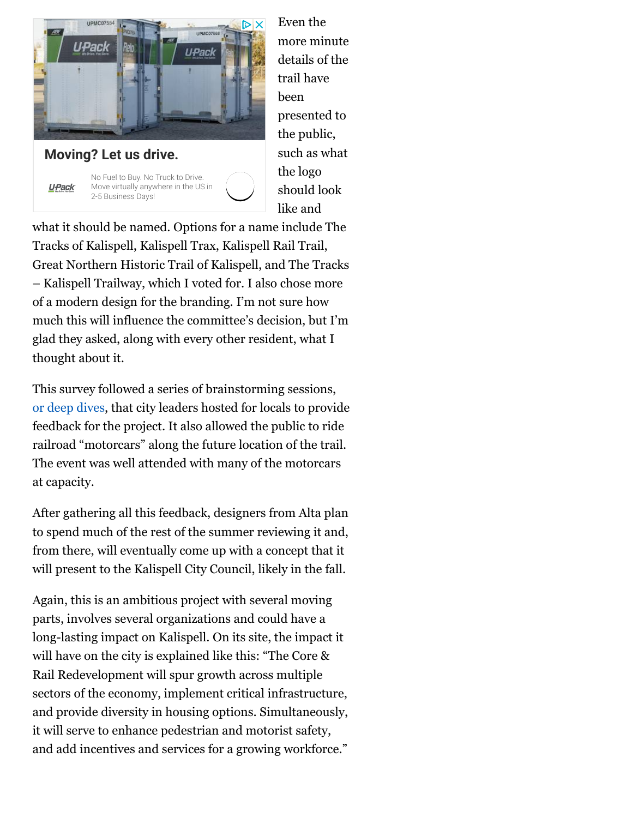



Even the more minute details of the trail have been presented to the public, such as what the logo should look like and

what it should be named. Options for a name include The Tracks of Kalispell, Kalispell Trax, Kalispell Rail Trail, Great Northern Historic Trail of Kalispell, and The Tracks – Kalispell Trailway, which I voted for. I also chose more of a modern design for the branding. I'm not sure how much this will influence the committee's decision, but I'm glad they asked, along with every other resident, what I thought about it.

This survey followed a series of brainstorming sessions, or deep [dives,](https://flatheadbeacon.com/2018/06/05/rail-trail-deep-dive-begins-kalispell/) that city leaders hosted for locals to provide feedback for the project. It also allowed the public to ride railroad "motorcars" along the future location of the trail. The event was well attended with many of the motorcars at capacity.

After gathering all this feedback, designers from Alta plan to spend much of the rest of the summer reviewing it and, from there, will eventually come up with a concept that it will present to the Kalispell City Council, likely in the fall.

Again, this is an ambitious project with several moving parts, involves several organizations and could have a long-lasting impact on Kalispell. On its site, the impact it will have on the city is explained like this: "The Core & Rail Redevelopment will spur growth across multiple sectors of the economy, implement critical infrastructure, and provide diversity in housing options. Simultaneously, it will serve to enhance pedestrian and motorist safety, and add incentives and services for a growing workforce."